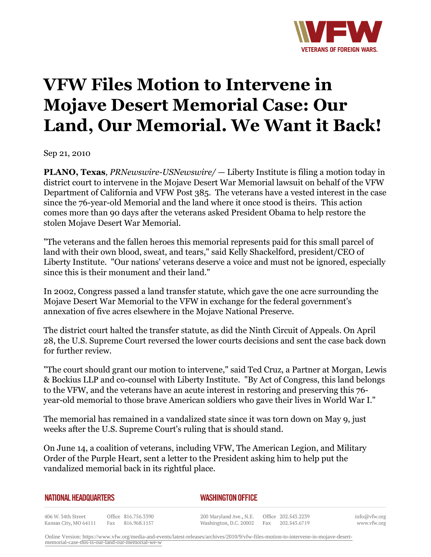

## **VFW Files Motion to Intervene in Mojave Desert Memorial Case: Our Land, Our Memorial. We Want it Back!**

Sep 21, 2010

**PLANO, Texas***, PRNewswire-USNewswire/* — Liberty Institute is filing a motion today in district court to intervene in the Mojave Desert War Memorial lawsuit on behalf of the VFW Department of California and VFW Post 385. The veterans have a vested interest in the case since the 76-year-old Memorial and the land where it once stood is theirs. This action comes more than 90 days after the veterans asked President Obama to help restore the stolen Mojave Desert War Memorial.

"The veterans and the fallen heroes this memorial represents paid for this small parcel of land with their own blood, sweat, and tears," said Kelly Shackelford, president/CEO of Liberty Institute. "Our nations' veterans deserve a voice and must not be ignored, especially since this is their monument and their land."

In 2002, Congress passed a land transfer statute, which gave the one acre surrounding the Mojave Desert War Memorial to the VFW in exchange for the federal government's annexation of five acres elsewhere in the Mojave National Preserve.

The district court halted the transfer statute, as did the Ninth Circuit of Appeals. On April 28, the U.S. Supreme Court reversed the lower courts decisions and sent the case back down for further review.

"The court should grant our motion to intervene," said Ted Cruz, a Partner at Morgan, Lewis & Bockius LLP and co-counsel with Liberty Institute. "By Act of Congress, this land belongs to the VFW, and the veterans have an acute interest in restoring and preserving this 76 year-old memorial to those brave American soldiers who gave their lives in World War I."

The memorial has remained in a vandalized state since it was torn down on May 9, just weeks after the U.S. Supreme Court's ruling that is should stand.

On June 14, a coalition of veterans, including VFW, The American Legion, and Military Order of the Purple Heart, sent a letter to the President asking him to help put the vandalized memorial back in its rightful place.

| NATIONAL HEADQUARTERS | <b>WASHINGTON OFFICE</b> |
|-----------------------|--------------------------|
|                       |                          |

406 W. 34th Street Office 816.756.3390 Kansas City, MO 64111 Fax 816.968.1157

200 Maryland Ave., N.E. Washington, D.C. 20002

Office 202.543.2239 Fax 202.543.6719 info@vfw.org www.vfw.org

Online Version: [https://www.vfw.org/media-and-events/latest-releases/archives/2010/9/vfw-files-motion-to-intervene-in-mojave-desert](https://www.vfw.org/media-and-events/latest-releases/archives/2010/9/vfw-files-motion-to-intervene-in-mojave-desert-memorial-case-this-is-our-land-our-memorial-we-w)[memorial-case-this-is-our-land-our-memorial-we-w](https://www.vfw.org/media-and-events/latest-releases/archives/2010/9/vfw-files-motion-to-intervene-in-mojave-desert-memorial-case-this-is-our-land-our-memorial-we-w)